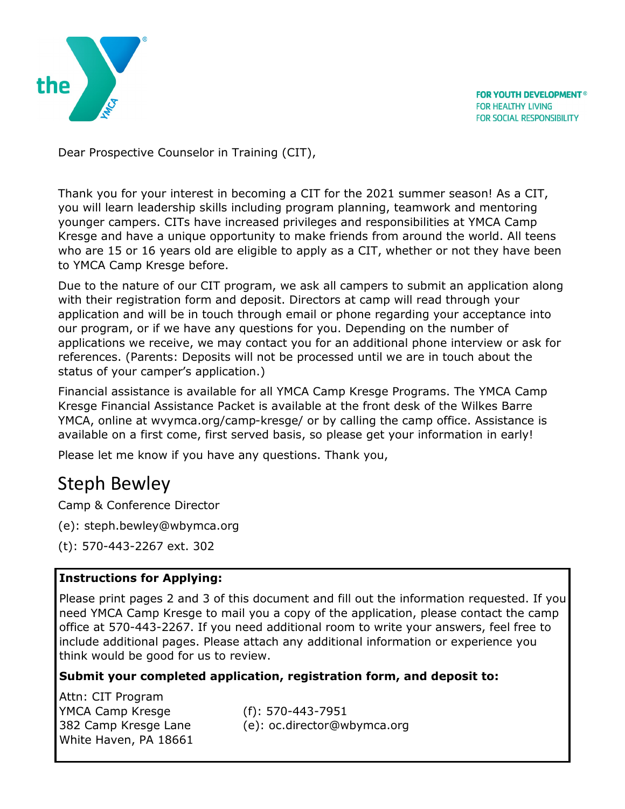

**FOR YOUTH DEVELOPMENT® FOR HEALTHY LIVING** FOR SOCIAL RESPONSIBILITY

Dear Prospective Counselor in Training (CIT),

Thank you for your interest in becoming a CIT for the 2021 summer season! As a CIT, you will learn leadership skills including program planning, teamwork and mentoring younger campers. CITs have increased privileges and responsibilities at YMCA Camp Kresge and have a unique opportunity to make friends from around the world. All teens who are 15 or 16 years old are eligible to apply as a CIT, whether or not they have been to YMCA Camp Kresge before.

Due to the nature of our CIT program, we ask all campers to submit an application along with their registration form and deposit. Directors at camp will read through your application and will be in touch through email or phone regarding your acceptance into our program, or if we have any questions for you. Depending on the number of applications we receive, we may contact you for an additional phone interview or ask for references. (Parents: Deposits will not be processed until we are in touch about the status of your camper's application.)

Financial assistance is available for all YMCA Camp Kresge Programs. The YMCA Camp Kresge Financial Assistance Packet is available at the front desk of the Wilkes Barre YMCA, online at wvymca.org/camp-kresge/ or by calling the camp office. Assistance is available on a first come, first served basis, so please get your information in early!

Please let me know if you have any questions. Thank you,

# Steph Bewley

Camp & Conference Director

- (e): steph.bewley@wbymca.org
- (t): 570-443-2267 ext. 302

## **Instructions for Applying:**

Please print pages 2 and 3 of this document and fill out the information requested. If you need YMCA Camp Kresge to mail you a copy of the application, please contact the camp office at 570-443-2267. If you need additional room to write your answers, feel free to include additional pages. Please attach any additional information or experience you think would be good for us to review.

## **Submit your completed application, registration form, and deposit to:**

Attn: CIT Program YMCA Camp Kresge (f): 570-443-7951 White Haven, PA 18661

382 Camp Kresge Lane (e): oc.director@wbymca.org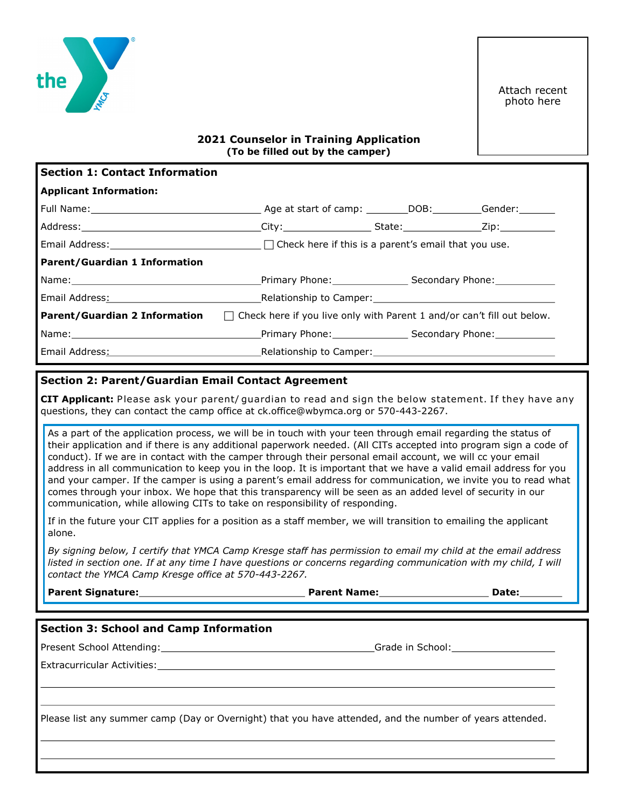

#### **2021 Counselor in Training Application (To be filled out by the camper)**

| <b>Section 1: Contact Information</b>                                                                                                                                                                                         |                                                                                                                    |  |  |
|-------------------------------------------------------------------------------------------------------------------------------------------------------------------------------------------------------------------------------|--------------------------------------------------------------------------------------------------------------------|--|--|
| <b>Applicant Information:</b>                                                                                                                                                                                                 |                                                                                                                    |  |  |
|                                                                                                                                                                                                                               |                                                                                                                    |  |  |
|                                                                                                                                                                                                                               |                                                                                                                    |  |  |
|                                                                                                                                                                                                                               | Email Address: $\Box$ The Check here if this is a parent's email that you use.                                     |  |  |
| <b>Parent/Guardian 1 Information</b>                                                                                                                                                                                          |                                                                                                                    |  |  |
| Name: Contract Contract Contract Contract Contract Contract Contract Contract Contract Contract Contract Contract Contract Contract Contract Contract Contract Contract Contract Contract Contract Contract Contract Contract |                                                                                                                    |  |  |
|                                                                                                                                                                                                                               | Email Address: No. 2014. The Relationship to Camper: No. 2014. The Camper Complete Street Assembly Department      |  |  |
|                                                                                                                                                                                                                               | <b>Parent/Guardian 2 Information</b> $\Box$ Check here if you live only with Parent 1 and/or can't fill out below. |  |  |
|                                                                                                                                                                                                                               |                                                                                                                    |  |  |
|                                                                                                                                                                                                                               |                                                                                                                    |  |  |

#### **Section 2: Parent/Guardian Email Contact Agreement**

CIT Applicant: Please ask your parent/ guardian to read and sign the below statement. If they have any questions, they can contact the camp office at ck.office@wbymca.org or 570-443-2267.

As a part of the application process, we will be in touch with your teen through email regarding the status of their application and if there is any additional paperwork needed. (All CITs accepted into program sign a code of conduct). If we are in contact with the camper through their personal email account, we will cc your email address in all communication to keep you in the loop. It is important that we have a valid email address for you and your camper. If the camper is using a parent's email address for communication, we invite you to read what comes through your inbox. We hope that this transparency will be seen as an added level of security in our communication, while allowing CITs to take on responsibility of responding.

If in the future your CIT applies for a position as a staff member, we will transition to emailing the applicant alone.

*By signing below, I certify that YMCA Camp Kresge staff has permission to email my child at the email address listed in section one. If at any time I have questions or concerns regarding communication with my child, I will contact the YMCA Camp Kresge office at 570-443-2267.*

**Parent Signature: Parent Name: Date:**

### **Section 3: School and Camp Information**

Present School Attending: Grade in School: Grade in School:

Extracurricular Activities:

Please list any summer camp (Day or Overnight) that you have attended, and the number of years attended.